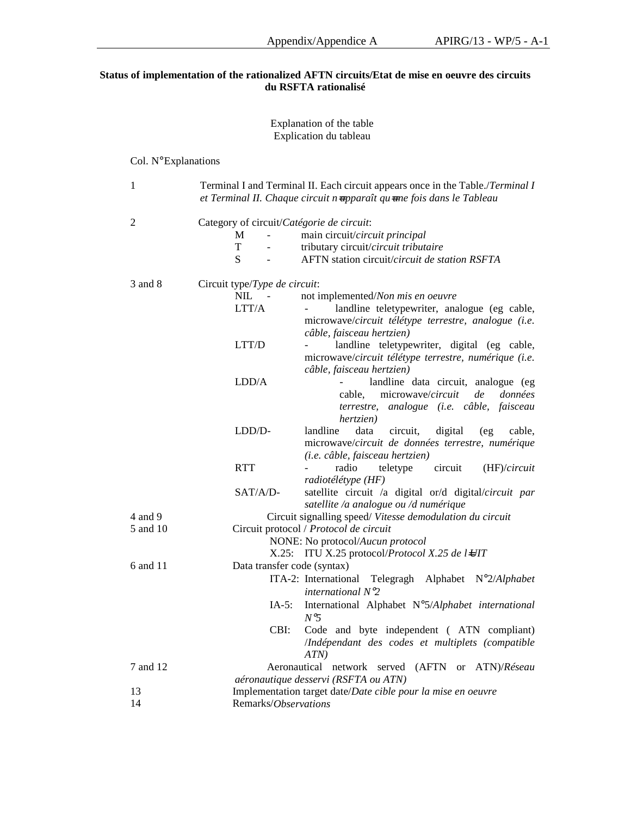## **Status of implementation of the rationalized AFTN circuits/Etat de mise en oeuvre des circuits du RSFTA rationalisé**

#### Explanation of the table Explication du tableau

# Col. N° Explanations

| $\mathbf{1}$ |                                           | Terminal I and Terminal II. Each circuit appears once in the Table./Terminal I<br>et Terminal II. Chaque circuit n-apparaît qu-une fois dans le Tableau |
|--------------|-------------------------------------------|---------------------------------------------------------------------------------------------------------------------------------------------------------|
| 2            | Category of circuit/Catégorie de circuit: |                                                                                                                                                         |
|              | M                                         | main circuit/circuit principal                                                                                                                          |
|              | T                                         | tributary circuit/circuit tributaire                                                                                                                    |
|              | S                                         | AFTN station circuit/circuit de station RSFTA                                                                                                           |
| 3 and 8      | Circuit type/Type de circuit:             |                                                                                                                                                         |
|              | NIL.                                      | not implemented/Non mis en oeuvre                                                                                                                       |
|              | LTT/A                                     | landline teletypewriter, analogue (eg cable,                                                                                                            |
|              |                                           | microwave/circuit télétype terrestre, analogue (i.e.                                                                                                    |
|              |                                           | câble, faisceau hertzien)                                                                                                                               |
|              | LTT/D                                     | landline teletypewriter, digital (eg cable,                                                                                                             |
|              |                                           | microwave/circuit télétype terrestre, numérique (i.e.                                                                                                   |
|              |                                           | câble, faisceau hertzien)                                                                                                                               |
|              | LDD/A                                     | landline data circuit, analogue (eg                                                                                                                     |
|              |                                           | microwave/circuit<br>cable,<br>de<br>données                                                                                                            |
|              |                                           |                                                                                                                                                         |
|              |                                           | terrestre, analogue (i.e. câble, faisceau                                                                                                               |
|              |                                           | hertzien)                                                                                                                                               |
|              | LDD/D-                                    | landline<br>data<br>circuit,<br>digital<br>(eg<br>cable,                                                                                                |
|              |                                           | microwave/circuit de données terrestre, numérique                                                                                                       |
|              |                                           | (i.e. câble, faisceau hertzien)                                                                                                                         |
|              | <b>RTT</b>                                | radio<br>teletype<br>circuit<br>(HF)/circuit                                                                                                            |
|              |                                           | radiotélétype (HF)                                                                                                                                      |
|              | SAT/A/D-                                  | satellite circuit /a digital or/d digital/circuit par                                                                                                   |
|              |                                           | satellite /a analogue ou /d numérique                                                                                                                   |
| 4 and 9      |                                           | Circuit signalling speed/ Vitesse demodulation du circuit                                                                                               |
| 5 and 10     |                                           | Circuit protocol / Protocol de circuit                                                                                                                  |
|              |                                           | NONE: No protocol/Aucun protocol                                                                                                                        |
|              |                                           | X.25: ITU X.25 protocol/Protocol X.25 de l4JIT                                                                                                          |
| 6 and 11     | Data transfer code (syntax)               |                                                                                                                                                         |
|              |                                           | Telegragh Alphabet N°2/Alphabet<br>ITA-2: International                                                                                                 |
|              |                                           | international $N^{\circ}2$                                                                                                                              |
|              | $IA-5$ :                                  | International Alphabet N°5/Alphabet international                                                                                                       |
|              |                                           | N <sup>o</sup> 5                                                                                                                                        |
|              | CBI:                                      | Code and byte independent (ATN compliant)                                                                                                               |
|              |                                           | /Indépendant des codes et multiplets (compatible                                                                                                        |
|              |                                           |                                                                                                                                                         |
| 7 and 12     |                                           | ATN                                                                                                                                                     |
|              |                                           | Aeronautical network served<br>$(AFTN$ or $ATN)/R$ éseau                                                                                                |
|              |                                           | aéronautique desservi (RSFTA ou ATN)                                                                                                                    |
| 13           |                                           | Implementation target date/Date cible pour la mise en oeuvre                                                                                            |
| 14           | Remarks/Observations                      |                                                                                                                                                         |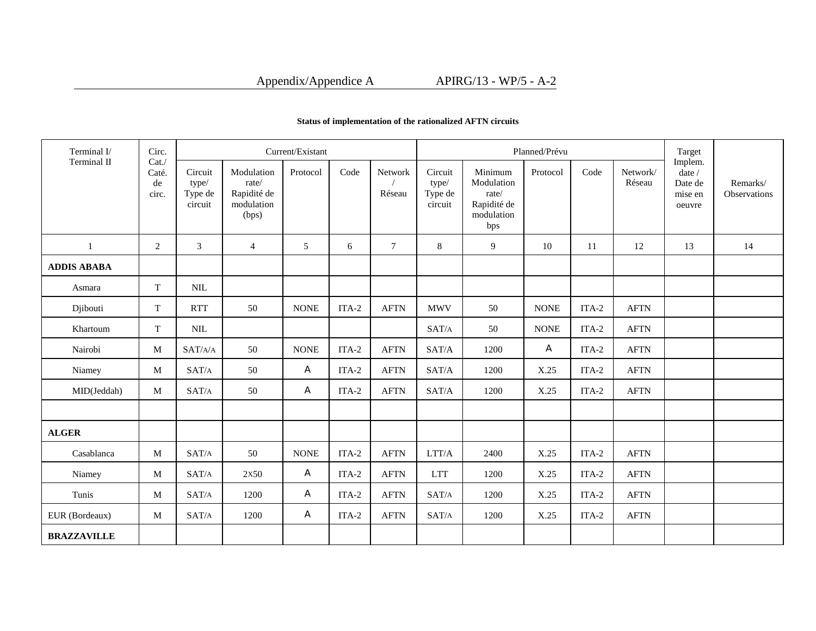# Appendix/Appendice A APIRG/13 - WP/5 - A-2

| Terminal I/        | Circ.                        |                                        |                                                           | Current/Existant |         |                          |                                        |                                                                    | Planned/Prévu |         |                    | Target                                           |                          |  |
|--------------------|------------------------------|----------------------------------------|-----------------------------------------------------------|------------------|---------|--------------------------|----------------------------------------|--------------------------------------------------------------------|---------------|---------|--------------------|--------------------------------------------------|--------------------------|--|
| Terminal II        | Cat.<br>Caté.<br>de<br>circ. | Circuit<br>type/<br>Type de<br>circuit | Modulation<br>rate/<br>Rapidité de<br>modulation<br>(bps) | Protocol         | Code    | <b>Network</b><br>Réseau | Circuit<br>type/<br>Type de<br>circuit | Minimum<br>Modulation<br>rate/<br>Rapidité de<br>modulation<br>bps | Protocol      | Code    | Network/<br>Réseau | Implem.<br>date/<br>Date de<br>mise en<br>oeuvre | Remarks/<br>Observations |  |
| $\mathbf{1}$       | 2                            | $\mathfrak{Z}$                         | $\overline{4}$                                            | 5                | 6       | $\tau$                   | 8                                      | 9                                                                  | 10            | 11      | 12                 | 13                                               | 14                       |  |
| <b>ADDIS ABABA</b> |                              |                                        |                                                           |                  |         |                          |                                        |                                                                    |               |         |                    |                                                  |                          |  |
| Asmara             | T                            | $\mbox{NIL}$                           |                                                           |                  |         |                          |                                        |                                                                    |               |         |                    |                                                  |                          |  |
| Djibouti           | T                            | <b>RTT</b>                             | 50                                                        | <b>NONE</b>      | ITA-2   | <b>AFTN</b>              | <b>MWV</b>                             | 50                                                                 | <b>NONE</b>   | $ITA-2$ | <b>AFTN</b>        |                                                  |                          |  |
| Khartoum           | $\mathbf T$                  | $\mbox{NIL}$                           |                                                           |                  |         |                          | SAT/A                                  | 50                                                                 | <b>NONE</b>   | $ITA-2$ | <b>AFTN</b>        |                                                  |                          |  |
| Nairobi            | M                            | SAT/A/A                                | 50                                                        | <b>NONE</b>      | $ITA-2$ | <b>AFTN</b>              | SAT/A                                  | 1200                                                               | A             | ITA-2   | <b>AFTN</b>        |                                                  |                          |  |
| Niamey             | $\mathbf M$                  | SAT/A                                  | 50                                                        | A                | $ITA-2$ | <b>AFTN</b>              | SAT/A                                  | 1200                                                               | X.25          | $ITA-2$ | <b>AFTN</b>        |                                                  |                          |  |
| MID(Jeddah)        | M                            | SAT/A                                  | 50                                                        | A                | ITA-2   | <b>AFTN</b>              | SAT/A                                  | 1200                                                               | X.25          | $ITA-2$ | <b>AFTN</b>        |                                                  |                          |  |
|                    |                              |                                        |                                                           |                  |         |                          |                                        |                                                                    |               |         |                    |                                                  |                          |  |
| <b>ALGER</b>       |                              |                                        |                                                           |                  |         |                          |                                        |                                                                    |               |         |                    |                                                  |                          |  |
| Casablanca         | M                            | SAT/A                                  | 50                                                        | <b>NONE</b>      | $ITA-2$ | <b>AFTN</b>              | LTT/A                                  | 2400                                                               | X.25          | $ITA-2$ | <b>AFTN</b>        |                                                  |                          |  |
| Niamey             | M                            | SAT/A                                  | 2x50                                                      | A                | $ITA-2$ | <b>AFTN</b>              | <b>LTT</b>                             | 1200                                                               | X.25          | ITA-2   | <b>AFTN</b>        |                                                  |                          |  |
| Tunis              | M                            | SAT/A                                  | 1200                                                      | A                | ITA-2   | <b>AFTN</b>              | SAT/A                                  | 1200                                                               | X.25          | $ITA-2$ | <b>AFTN</b>        |                                                  |                          |  |
| EUR (Bordeaux)     | M                            | SAT/A                                  | 1200                                                      | A                | ITA-2   | <b>AFTN</b>              | SAT/A                                  | 1200                                                               | X.25          | ITA-2   | <b>AFTN</b>        |                                                  |                          |  |
| <b>BRAZZAVILLE</b> |                              |                                        |                                                           |                  |         |                          |                                        |                                                                    |               |         |                    |                                                  |                          |  |

## **Status of implementation of the rationalized AFTN circuits**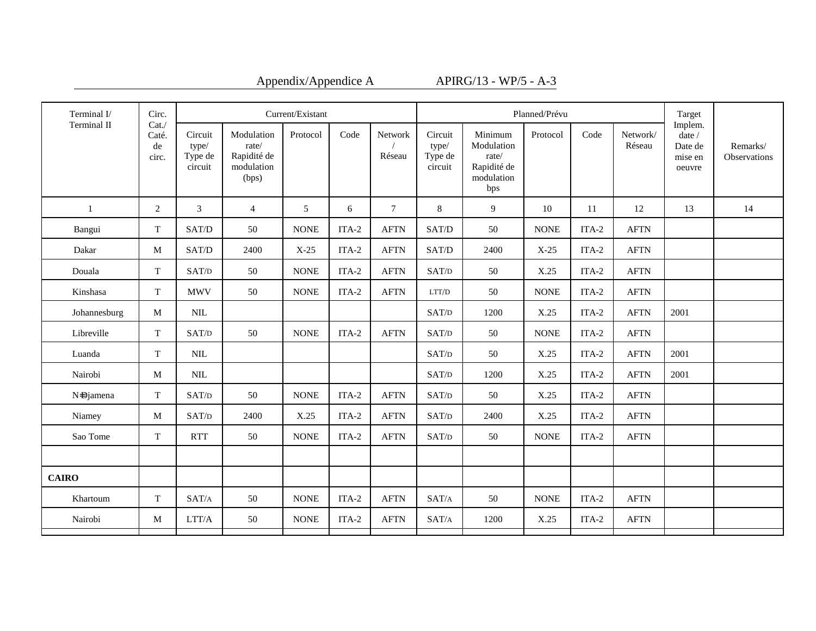| Appendix/Appendice |  |
|--------------------|--|
|--------------------|--|

A<br> $\overline{APIRG/13 - WP/5 - A-3}$ 

| Terminal I/  | Circ.                        | Current/Existant<br>Planned/Prévu      |                                                           |             |         |                   |                                                            |                                                                    |             |         | Target             |                                                               |                          |
|--------------|------------------------------|----------------------------------------|-----------------------------------------------------------|-------------|---------|-------------------|------------------------------------------------------------|--------------------------------------------------------------------|-------------|---------|--------------------|---------------------------------------------------------------|--------------------------|
| Terminal II  | Cat.<br>Caté.<br>de<br>circ. | Circuit<br>type/<br>Type de<br>circuit | Modulation<br>rate/<br>Rapidité de<br>modulation<br>(bps) | Protocol    | Code    | Network<br>Réseau | Circuit<br>type/<br>Type de<br>circuit                     | Minimum<br>Modulation<br>rate/<br>Rapidité de<br>modulation<br>bps | Protocol    | Code    | Network/<br>Réseau | Implem.<br>$\text{date}\,/\,$<br>Date de<br>mise en<br>oeuvre | Remarks/<br>Observations |
| 1            | 2                            | $\mathfrak{Z}$                         | $\overline{4}$                                            | 5           | 6       | $\tau$            | 8                                                          | 9                                                                  | 10          | 11      | 12                 | 13                                                            | 14                       |
| Bangui       | T                            | SAT/D                                  | 50                                                        | <b>NONE</b> | $ITA-2$ | <b>AFTN</b>       | SAT/D                                                      | 50                                                                 | <b>NONE</b> | $ITA-2$ | <b>AFTN</b>        |                                                               |                          |
| Dakar        | M                            | SAT/D                                  | 2400                                                      | $X-25$      | $ITA-2$ | <b>AFTN</b>       | SAT/D                                                      | 2400                                                               | $X-25$      | $ITA-2$ | <b>AFTN</b>        |                                                               |                          |
| Douala       | T                            | SAT/D                                  | 50                                                        | <b>NONE</b> | $ITA-2$ | <b>AFTN</b>       | SAT/D                                                      | 50                                                                 | X.25        | $ITA-2$ | <b>AFTN</b>        |                                                               |                          |
| Kinshasa     | T                            | <b>MWV</b>                             | 50                                                        | <b>NONE</b> | ITA-2   | <b>AFTN</b>       | LTT/D                                                      | 50                                                                 | <b>NONE</b> | ITA-2   | <b>AFTN</b>        |                                                               |                          |
| Johannesburg | M                            | $\text{NIL}$                           |                                                           |             |         |                   | SAT/D                                                      | 1200                                                               | X.25        | $ITA-2$ | <b>AFTN</b>        | 2001                                                          |                          |
| Libreville   | T                            | SAT/D                                  | 50                                                        | <b>NONE</b> | $ITA-2$ | <b>AFTN</b>       | SAT/D                                                      | 50                                                                 | <b>NONE</b> | $ITA-2$ | <b>AFTN</b>        |                                                               |                          |
| Luanda       | T                            | $\mbox{NIL}$                           |                                                           |             |         |                   | SAT/D                                                      | 50                                                                 | X.25        | $ITA-2$ | <b>AFTN</b>        | 2001                                                          |                          |
| Nairobi      | M                            | $\text{NIL}$                           |                                                           |             |         |                   | SAT/D                                                      | 1200                                                               | X.25        | ITA-2   | <b>AFTN</b>        | 2001                                                          |                          |
| N=Djamena    | T                            | SAT/D                                  | 50                                                        | <b>NONE</b> | $ITA-2$ | <b>AFTN</b>       | SAT/D                                                      | 50                                                                 | X.25        | $ITA-2$ | <b>AFTN</b>        |                                                               |                          |
| Niamey       | M                            | SAT/D                                  | 2400                                                      | X.25        | $ITA-2$ | <b>AFTN</b>       | $\ensuremath{\mathrm{SAT}}\xspace/\ensuremath{\mathrm{D}}$ | 2400                                                               | X.25        | $ITA-2$ | <b>AFTN</b>        |                                                               |                          |
| Sao Tome     | T                            | <b>RTT</b>                             | 50                                                        | <b>NONE</b> | ITA-2   | <b>AFTN</b>       | SAT/D                                                      | 50                                                                 | <b>NONE</b> | ITA-2   | <b>AFTN</b>        |                                                               |                          |
|              |                              |                                        |                                                           |             |         |                   |                                                            |                                                                    |             |         |                    |                                                               |                          |
| <b>CAIRO</b> |                              |                                        |                                                           |             |         |                   |                                                            |                                                                    |             |         |                    |                                                               |                          |
| Khartoum     | T                            | SAT/A                                  | 50                                                        | <b>NONE</b> | $ITA-2$ | <b>AFTN</b>       | SAT/A                                                      | 50                                                                 | <b>NONE</b> | $ITA-2$ | <b>AFTN</b>        |                                                               |                          |
| Nairobi      | M                            | LTT/A                                  | 50                                                        | <b>NONE</b> | ITA-2   | <b>AFTN</b>       | SAT/A                                                      | 1200                                                               | X.25        | $ITA-2$ | <b>AFTN</b>        |                                                               |                          |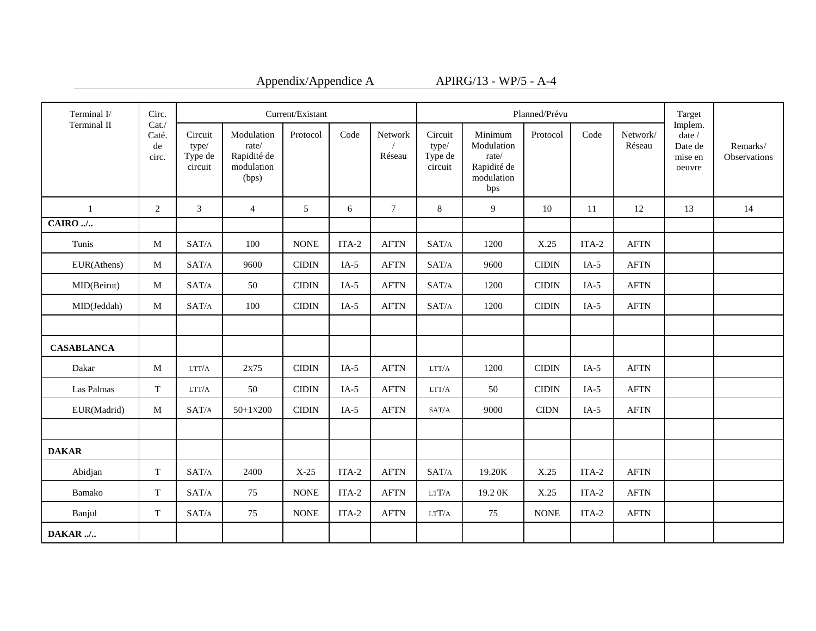| Appendix/Appendice |  |  |
|--------------------|--|--|

A APIRG/13 - WP/5 - A-4

| Terminal I/       | Circ.                        |                                        |                                                           | Current/Existant |         |                   |                                        |                                                                    | Planned/Prévu |         |                    | Target<br>Implem.                             |                                 |
|-------------------|------------------------------|----------------------------------------|-----------------------------------------------------------|------------------|---------|-------------------|----------------------------------------|--------------------------------------------------------------------|---------------|---------|--------------------|-----------------------------------------------|---------------------------------|
| Terminal II       | Cat.<br>Caté.<br>de<br>circ. | Circuit<br>type/<br>Type de<br>circuit | Modulation<br>rate/<br>Rapidité de<br>modulation<br>(bps) | Protocol         | Code    | Network<br>Réseau | Circuit<br>type/<br>Type de<br>circuit | Minimum<br>Modulation<br>rate/<br>Rapidité de<br>modulation<br>bps | Protocol      | Code    | Network/<br>Réseau | date $\prime$<br>Date de<br>mise en<br>oeuvre | Remarks/<br><b>Observations</b> |
| $\mathbf{1}$      | 2                            | $\mathfrak{Z}$                         | $\overline{4}$                                            | 5                | 6       | $\tau$            | 8                                      | 9                                                                  | 10            | 11      | 12                 | 13                                            | 14                              |
| $CAIRO$           |                              |                                        |                                                           |                  |         |                   |                                        |                                                                    |               |         |                    |                                               |                                 |
| Tunis             | M                            | SAT/A                                  | 100                                                       | <b>NONE</b>      | ITA-2   | <b>AFTN</b>       | SAT/A                                  | 1200                                                               | X.25          | ITA-2   | <b>AFTN</b>        |                                               |                                 |
| EUR(Athens)       | M                            | SAT/A                                  | 9600                                                      | <b>CIDIN</b>     | $IA-5$  | <b>AFTN</b>       | $\text{SAT}/\text{A}$                  | 9600                                                               | <b>CIDIN</b>  | $IA-5$  | <b>AFTN</b>        |                                               |                                 |
| MID(Beirut)       | M                            | SAT/A                                  | 50                                                        | <b>CIDIN</b>     | $IA-5$  | <b>AFTN</b>       | SAT/A                                  | 1200                                                               | <b>CIDIN</b>  | $IA-5$  | <b>AFTN</b>        |                                               |                                 |
| MID(Jeddah)       | M                            | SAT/A                                  | 100                                                       | <b>CIDIN</b>     | $IA-5$  | <b>AFTN</b>       | SAT/A                                  | 1200                                                               | <b>CIDIN</b>  | $IA-5$  | <b>AFTN</b>        |                                               |                                 |
|                   |                              |                                        |                                                           |                  |         |                   |                                        |                                                                    |               |         |                    |                                               |                                 |
| <b>CASABLANCA</b> |                              |                                        |                                                           |                  |         |                   |                                        |                                                                    |               |         |                    |                                               |                                 |
| Dakar             | M                            | LTT/A                                  | 2x75                                                      | <b>CIDIN</b>     | $IA-5$  | <b>AFTN</b>       | LTT/A                                  | 1200                                                               | <b>CIDIN</b>  | $IA-5$  | <b>AFTN</b>        |                                               |                                 |
| Las Palmas        | T                            | LTT/A                                  | 50                                                        | <b>CIDIN</b>     | $IA-5$  | <b>AFTN</b>       | LTT/A                                  | 50                                                                 | <b>CIDIN</b>  | $IA-5$  | <b>AFTN</b>        |                                               |                                 |
| EUR(Madrid)       | M                            | SAT/A                                  | $50+1x200$                                                | <b>CIDIN</b>     | $IA-5$  | <b>AFTN</b>       | SAT/A                                  | 9000                                                               | <b>CIDN</b>   | $IA-5$  | <b>AFTN</b>        |                                               |                                 |
|                   |                              |                                        |                                                           |                  |         |                   |                                        |                                                                    |               |         |                    |                                               |                                 |
| <b>DAKAR</b>      |                              |                                        |                                                           |                  |         |                   |                                        |                                                                    |               |         |                    |                                               |                                 |
| Abidjan           | T                            | SAT/A                                  | 2400                                                      | $X-25$           | $ITA-2$ | <b>AFTN</b>       | SAT/A                                  | 19.20K                                                             | X.25          | $ITA-2$ | <b>AFTN</b>        |                                               |                                 |
| Bamako            | $\mathbf T$                  | SAT/A                                  | 75                                                        | <b>NONE</b>      | $ITA-2$ | <b>AFTN</b>       | $_{\rm LTT/A}$                         | 19.2 OK                                                            | X.25          | $ITA-2$ | <b>AFTN</b>        |                                               |                                 |
| Banjul            | T                            | SAT/A                                  | 75                                                        | <b>NONE</b>      | ITA-2   | <b>AFTN</b>       | LTT/A                                  | 75                                                                 | <b>NONE</b>   | ITA-2   | <b>AFTN</b>        |                                               |                                 |
| DAKAR/            |                              |                                        |                                                           |                  |         |                   |                                        |                                                                    |               |         |                    |                                               |                                 |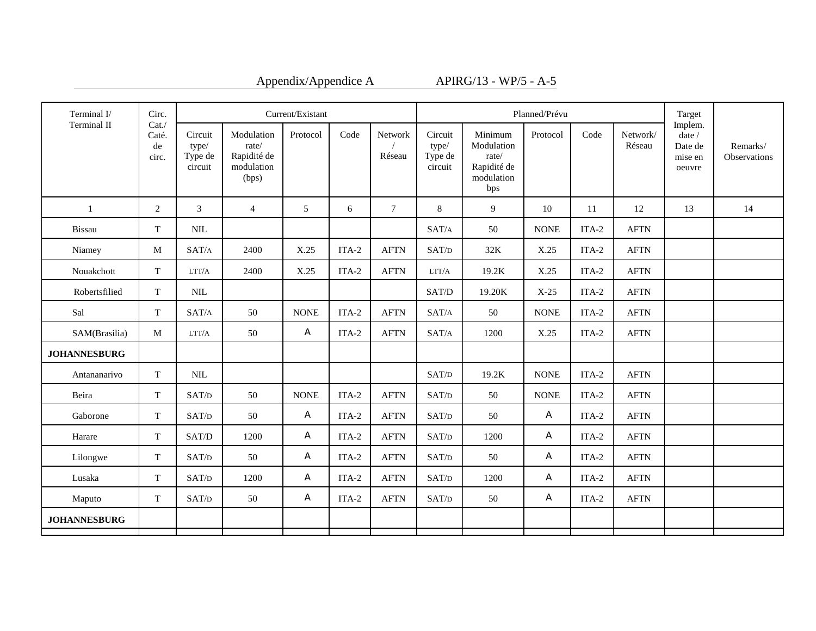| Appendix/Appendice |  |  |  |  |  |
|--------------------|--|--|--|--|--|
|--------------------|--|--|--|--|--|

 $A \_ \_ \_ \_ \_ \_ \_ \_ \_ \_ \_ \_ \_ \_ \_ \_ \_ \_$ 

| Terminal I/         | Circ.                        |                                        |                                                           | Current/Existant |         |                          |                                               |                                                                    | Planned/Prévu |         |                    | Target<br>Implem.                                 |                          |  |
|---------------------|------------------------------|----------------------------------------|-----------------------------------------------------------|------------------|---------|--------------------------|-----------------------------------------------|--------------------------------------------------------------------|---------------|---------|--------------------|---------------------------------------------------|--------------------------|--|
| Terminal II         | Cat.<br>Caté.<br>de<br>circ. | Circuit<br>type/<br>Type de<br>circuit | Modulation<br>rate/<br>Rapidité de<br>modulation<br>(bps) | Protocol         | Code    | <b>Network</b><br>Réseau | Circuit<br>type/<br>Type de<br>circuit        | Minimum<br>Modulation<br>rate/<br>Rapidité de<br>modulation<br>bps | Protocol      | Code    | Network/<br>Réseau | date $\mathcal I$<br>Date de<br>mise en<br>oeuvre | Remarks/<br>Observations |  |
| $\mathbf{1}$        | 2                            | 3                                      | $\overline{4}$                                            | 5                | 6       | $\tau$                   | 8                                             | 9                                                                  | 10            | 11      | 12                 | 13                                                | 14                       |  |
| <b>Bissau</b>       | $\mathbf T$                  | $\mbox{NIL}$                           |                                                           |                  |         |                          | SAT/A                                         | 50                                                                 | <b>NONE</b>   | ITA-2   | <b>AFTN</b>        |                                                   |                          |  |
| Niamey              | M                            | SAT/A                                  | 2400                                                      | X.25             | $ITA-2$ | <b>AFTN</b>              | SAT/D                                         | 32K                                                                | X.25          | $ITA-2$ | <b>AFTN</b>        |                                                   |                          |  |
| Nouakchott          | T                            | LTT/A                                  | 2400                                                      | X.25             | ITA-2   | <b>AFTN</b>              | LTT/A                                         | 19.2K                                                              | X.25          | ITA-2   | <b>AFTN</b>        |                                                   |                          |  |
| Robertsfilied       | T                            | <b>NIL</b>                             |                                                           |                  |         |                          | SAT/D                                         | 19.20K                                                             | $X-25$        | ITA-2   | <b>AFTN</b>        |                                                   |                          |  |
| Sal                 | T                            | SAT/A                                  | 50                                                        | <b>NONE</b>      | ITA-2   | <b>AFTN</b>              | SAT/A                                         | 50                                                                 | <b>NONE</b>   | $ITA-2$ | <b>AFTN</b>        |                                                   |                          |  |
| SAM(Brasilia)       | M                            | LTT/A                                  | 50                                                        | A                | $ITA-2$ | <b>AFTN</b>              | SAT/A                                         | 1200                                                               | X.25          | $ITA-2$ | <b>AFTN</b>        |                                                   |                          |  |
| <b>JOHANNESBURG</b> |                              |                                        |                                                           |                  |         |                          |                                               |                                                                    |               |         |                    |                                                   |                          |  |
| Antananarivo        | <sup>T</sup>                 | $\text{NIL}$                           |                                                           |                  |         |                          | SAT/D                                         | 19.2K                                                              | <b>NONE</b>   | $ITA-2$ | <b>AFTN</b>        |                                                   |                          |  |
| Beira               | T                            | SAT/D                                  | 50                                                        | <b>NONE</b>      | $ITA-2$ | <b>AFTN</b>              | SAT/D                                         | 50                                                                 | <b>NONE</b>   | $ITA-2$ | <b>AFTN</b>        |                                                   |                          |  |
| Gaborone            | T                            | SAT/D                                  | 50                                                        | A                | ITA-2   | <b>AFTN</b>              | SAT/D                                         | 50                                                                 | A             | ITA-2   | <b>AFTN</b>        |                                                   |                          |  |
| Harare              | T                            | SAT/D                                  | 1200                                                      | A                | $ITA-2$ | <b>AFTN</b>              | $\ensuremath{\mathrm{SAT}}\xspace/\mathrm{D}$ | 1200                                                               | A             | ITA-2   | <b>AFTN</b>        |                                                   |                          |  |
| Lilongwe            | T                            | SAT/D                                  | 50                                                        | A                | $ITA-2$ | <b>AFTN</b>              | SAT/D                                         | 50                                                                 | A             | $ITA-2$ | <b>AFTN</b>        |                                                   |                          |  |
| Lusaka              | T                            | SAT/D                                  | 1200                                                      | A                | $ITA-2$ | <b>AFTN</b>              | $\ensuremath{\mathrm{SAT}}\xspace/\mathrm{D}$ | 1200                                                               | A             | ITA-2   | <b>AFTN</b>        |                                                   |                          |  |
| Maputo              | T                            | SAT/D                                  | 50                                                        | A                | $ITA-2$ | <b>AFTN</b>              | SAT/D                                         | 50                                                                 | A             | $ITA-2$ | <b>AFTN</b>        |                                                   |                          |  |
| <b>JOHANNESBURG</b> |                              |                                        |                                                           |                  |         |                          |                                               |                                                                    |               |         |                    |                                                   |                          |  |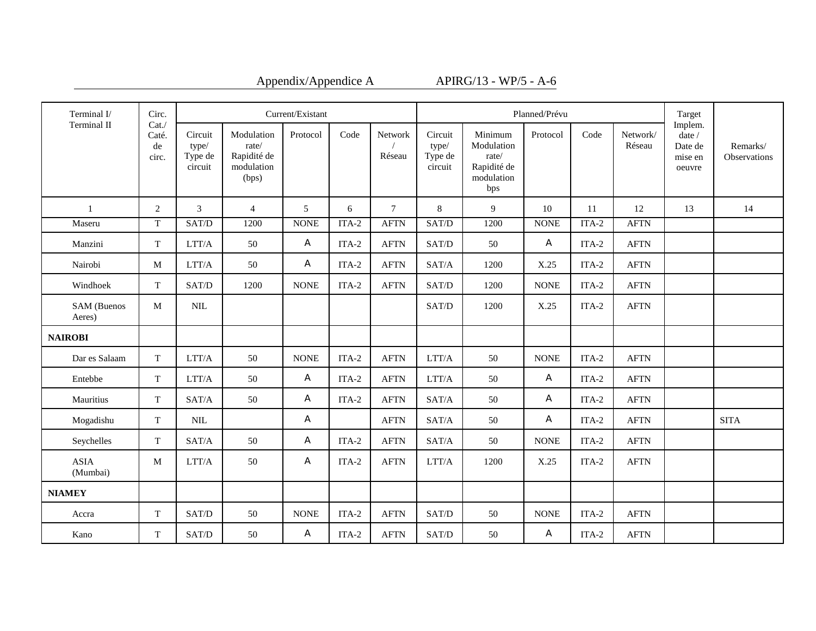| Appendix/Appendice |  |  |  |  |  |
|--------------------|--|--|--|--|--|
|--------------------|--|--|--|--|--|

A  $APIRG/13 - WP/5 - A-6$ 

| Terminal I/             | Circ.                        |                                                            |                                                           | Current/Existant |         |                   |                                        |                                                                    | Planned/Prévu |         |                    | Target                                            |                          |
|-------------------------|------------------------------|------------------------------------------------------------|-----------------------------------------------------------|------------------|---------|-------------------|----------------------------------------|--------------------------------------------------------------------|---------------|---------|--------------------|---------------------------------------------------|--------------------------|
| Terminal II             | Cat.<br>Caté.<br>de<br>circ. | Circuit<br>type/<br>Type de<br>circuit                     | Modulation<br>rate/<br>Rapidité de<br>modulation<br>(bps) | Protocol         | Code    | Network<br>Réseau | Circuit<br>type/<br>Type de<br>circuit | Minimum<br>Modulation<br>rate/<br>Rapidité de<br>modulation<br>bps | Protocol      | Code    | Network/<br>Réseau | Implem.<br>date /<br>Date de<br>mise en<br>oeuvre | Remarks/<br>Observations |
| $\mathbf{1}$            | 2                            | 3                                                          | $\overline{4}$                                            | 5                | 6       | $\tau$            | 8                                      | 9                                                                  | 10            | 11      | 12                 | 13                                                | 14                       |
| Maseru                  | $\mathbf T$                  | SAT/D                                                      | 1200                                                      | <b>NONE</b>      | $ITA-2$ | <b>AFTN</b>       | SAT/D                                  | 1200                                                               | <b>NONE</b>   | $ITA-2$ | <b>AFTN</b>        |                                                   |                          |
| Manzini                 | $\mathbf T$                  | $\rm LTT/A$                                                | 50                                                        | A                | ITA-2   | <b>AFTN</b>       | SAT/D                                  | 50                                                                 | A             | $ITA-2$ | <b>AFTN</b>        |                                                   |                          |
| Nairobi                 | M                            | $\rm LTT/A$                                                | 50                                                        | A                | $ITA-2$ | <b>AFTN</b>       | SAT/A                                  | 1200                                                               | X.25          | $ITA-2$ | <b>AFTN</b>        |                                                   |                          |
| Windhoek                | T                            | SAT/D                                                      | 1200                                                      | <b>NONE</b>      | ITA-2   | <b>AFTN</b>       | SAT/D                                  | 1200                                                               | <b>NONE</b>   | ITA-2   | <b>AFTN</b>        |                                                   |                          |
| SAM (Buenos<br>Aeres)   | M                            | $\text{NIL}$                                               |                                                           |                  |         |                   | SAT/D                                  | 1200                                                               | X.25          | $ITA-2$ | <b>AFTN</b>        |                                                   |                          |
| <b>NAIROBI</b>          |                              |                                                            |                                                           |                  |         |                   |                                        |                                                                    |               |         |                    |                                                   |                          |
| Dar es Salaam           | $\mathbf T$                  | $\rm LTT/A$                                                | 50                                                        | <b>NONE</b>      | $ITA-2$ | <b>AFTN</b>       | $\rm LTT/A$                            | 50                                                                 | <b>NONE</b>   | ITA-2   | <b>AFTN</b>        |                                                   |                          |
| Entebbe                 | $\mathbf T$                  | $\rm LTT/A$                                                | 50                                                        | A                | $ITA-2$ | <b>AFTN</b>       | LTT/A                                  | 50                                                                 | A             | $ITA-2$ | <b>AFTN</b>        |                                                   |                          |
| Mauritius               | T                            | SAT/A                                                      | 50                                                        | A                | ITA-2   | <b>AFTN</b>       | SAT/A                                  | 50                                                                 | A             | ITA-2   | <b>AFTN</b>        |                                                   |                          |
| Mogadishu               | $\mathbf T$                  | $\text{NIL}$                                               |                                                           | A                |         | <b>AFTN</b>       | SAT/A                                  | 50                                                                 | A             | $ITA-2$ | <b>AFTN</b>        |                                                   | <b>SITA</b>              |
| Seychelles              | T                            | SAT/A                                                      | 50                                                        | A                | ITA-2   | <b>AFTN</b>       | SAT/A                                  | 50                                                                 | <b>NONE</b>   | ITA-2   | <b>AFTN</b>        |                                                   |                          |
| <b>ASIA</b><br>(Mumbai) | $\mathbf M$                  | $\rm LTT/A$                                                | 50                                                        | A                | $ITA-2$ | <b>AFTN</b>       | $\rm LTT/A$                            | 1200                                                               | X.25          | $ITA-2$ | <b>AFTN</b>        |                                                   |                          |
| <b>NIAMEY</b>           |                              |                                                            |                                                           |                  |         |                   |                                        |                                                                    |               |         |                    |                                                   |                          |
| Accra                   | $\mathbf T$                  | $\ensuremath{\mathrm{SAT}}\xspace/\ensuremath{\mathrm{D}}$ | 50                                                        | <b>NONE</b>      | $ITA-2$ | <b>AFTN</b>       | SAT/D                                  | 50                                                                 | <b>NONE</b>   | $ITA-2$ | <b>AFTN</b>        |                                                   |                          |
| Kano                    | T                            | SAT/D                                                      | 50                                                        | A                | $ITA-2$ | <b>AFTN</b>       | SAT/D                                  | 50                                                                 | A             | ITA-2   | <b>AFTN</b>        |                                                   |                          |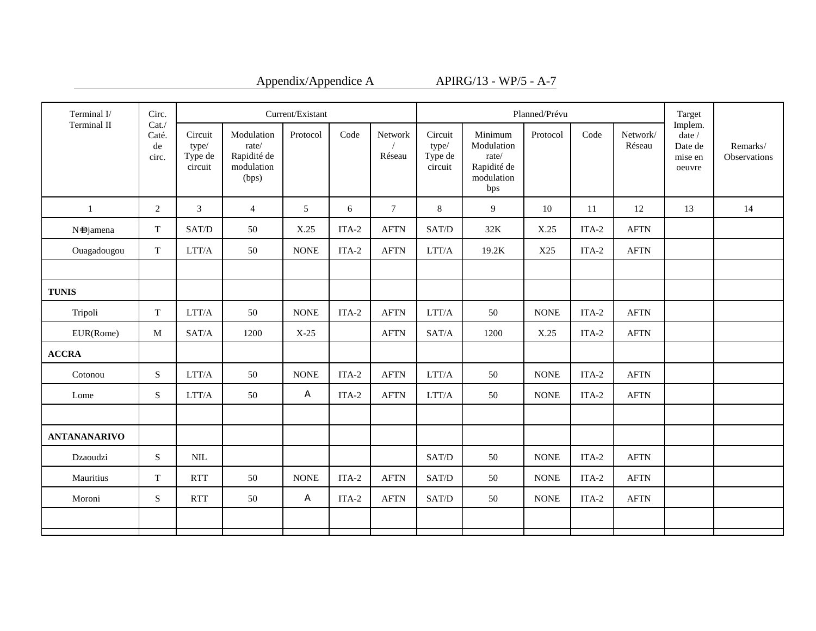| Appendix/Appendice |  |  |  |  |  |
|--------------------|--|--|--|--|--|
|--------------------|--|--|--|--|--|

A APIRG/13 - WP/5 - A-7

| Circ.                | Current/Existant<br>Planned/Prévu      |                                                           |             |       |                   |                                        |                                                                    |             |         |                    | Target                                   |                          |
|----------------------|----------------------------------------|-----------------------------------------------------------|-------------|-------|-------------------|----------------------------------------|--------------------------------------------------------------------|-------------|---------|--------------------|------------------------------------------|--------------------------|
| Caté.<br>de<br>circ. | Circuit<br>type/<br>Type de<br>circuit | Modulation<br>rate/<br>Rapidité de<br>modulation<br>(bps) | Protocol    | Code  | Network<br>Réseau | Circuit<br>type/<br>Type de<br>circuit | Minimum<br>Modulation<br>rate/<br>Rapidité de<br>modulation<br>bps | Protocol    | Code    | Network/<br>Réseau | date $/$<br>Date de<br>mise en<br>oeuvre | Remarks/<br>Observations |
| 2                    | 3                                      | $\overline{4}$                                            | 5           | 6     | $7\phantom{.0}$   | $\,8\,$                                | 9                                                                  | 10          | 11      | 12                 | 13                                       | 14                       |
| T                    | SAT/D                                  | 50                                                        | X.25        | ITA-2 | <b>AFTN</b>       | SAT/D                                  | 32K                                                                | X.25        | ITA-2   | <b>AFTN</b>        |                                          |                          |
| T                    | LTT/A                                  | 50                                                        | <b>NONE</b> | ITA-2 | <b>AFTN</b>       | LTT/A                                  | 19.2K                                                              | X25         | ITA-2   | <b>AFTN</b>        |                                          |                          |
|                      |                                        |                                                           |             |       |                   |                                        |                                                                    |             |         |                    |                                          |                          |
|                      |                                        |                                                           |             |       |                   |                                        |                                                                    |             |         |                    |                                          |                          |
| $\mathbf T$          | LTT/A                                  | 50                                                        | <b>NONE</b> | ITA-2 | <b>AFTN</b>       | $\rm LTT/A$                            | 50                                                                 | <b>NONE</b> | $ITA-2$ | <b>AFTN</b>        |                                          |                          |
| $\mathbf{M}$         | SAT/A                                  | 1200                                                      | $X-25$      |       | <b>AFTN</b>       | SAT/A                                  | 1200                                                               | X.25        | $ITA-2$ | <b>AFTN</b>        |                                          |                          |
|                      |                                        |                                                           |             |       |                   |                                        |                                                                    |             |         |                    |                                          |                          |
| S                    | LTT/A                                  | 50                                                        | <b>NONE</b> | ITA-2 | <b>AFTN</b>       | LTT/A                                  | 50                                                                 | <b>NONE</b> | $ITA-2$ | <b>AFTN</b>        |                                          |                          |
| S                    | LTT/A                                  | 50                                                        | A           | ITA-2 | <b>AFTN</b>       | LTT/A                                  | 50                                                                 | <b>NONE</b> | ITA-2   | <b>AFTN</b>        |                                          |                          |
|                      |                                        |                                                           |             |       |                   |                                        |                                                                    |             |         |                    |                                          |                          |
|                      |                                        |                                                           |             |       |                   |                                        |                                                                    |             |         |                    |                                          |                          |
| S                    | $\text{NIL}$                           |                                                           |             |       |                   | SAT/D                                  | 50                                                                 | <b>NONE</b> | $ITA-2$ | <b>AFTN</b>        |                                          |                          |
| T                    | <b>RTT</b>                             | 50                                                        | <b>NONE</b> | ITA-2 | <b>AFTN</b>       | SAT/D                                  | 50                                                                 | <b>NONE</b> | $ITA-2$ | <b>AFTN</b>        |                                          |                          |
| S                    | <b>RTT</b>                             | 50                                                        | A           | ITA-2 | <b>AFTN</b>       | SAT/D                                  | 50                                                                 | <b>NONE</b> | ITA-2   | <b>AFTN</b>        |                                          |                          |
|                      |                                        |                                                           |             |       |                   |                                        |                                                                    |             |         |                    |                                          |                          |
|                      | Cat.                                   |                                                           |             |       |                   |                                        |                                                                    |             |         |                    |                                          | Implem.                  |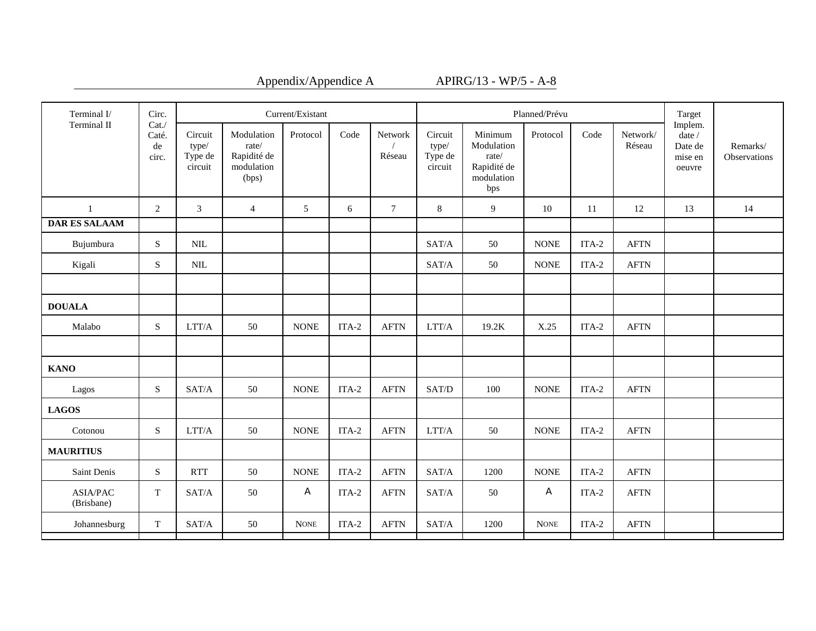| Appendix/Appendice |  |
|--------------------|--|
|--------------------|--|

 $A_{\text{APIRG}/13 - \text{WP}/5 - \text{A-8}}$ 

| Terminal I/                   | Circ.                        | Current/Existant                       |                                                           |             |         |                   |                                        | Planned/Prévu                                                      | Target      |         |                    |                                                              |                          |
|-------------------------------|------------------------------|----------------------------------------|-----------------------------------------------------------|-------------|---------|-------------------|----------------------------------------|--------------------------------------------------------------------|-------------|---------|--------------------|--------------------------------------------------------------|--------------------------|
| Terminal II                   | Cat.<br>Caté.<br>de<br>circ. | Circuit<br>type/<br>Type de<br>circuit | Modulation<br>rate/<br>Rapidité de<br>modulation<br>(bps) | Protocol    | Code    | Network<br>Réseau | Circuit<br>type/<br>Type de<br>circuit | Minimum<br>Modulation<br>rate/<br>Rapidité de<br>modulation<br>bps | Protocol    | Code    | Network/<br>Réseau | Implem.<br>date $\mathcal I$<br>Date de<br>mise en<br>oeuvre | Remarks/<br>Observations |
| $\mathbf{1}$                  | $\overline{2}$               | 3                                      | $\overline{4}$                                            | 5           | 6       | $\tau$            | 8                                      | 9                                                                  | 10          | 11      | 12                 | 13                                                           | 14                       |
| <b>DAR ES SALAAM</b>          |                              |                                        |                                                           |             |         |                   |                                        |                                                                    |             |         |                    |                                                              |                          |
| Bujumbura                     | S                            | $\text{NIL}$                           |                                                           |             |         |                   | SAT/A                                  | 50                                                                 | <b>NONE</b> | $ITA-2$ | <b>AFTN</b>        |                                                              |                          |
| Kigali                        | S                            | <b>NIL</b>                             |                                                           |             |         |                   | SAT/A                                  | 50                                                                 | <b>NONE</b> | ITA-2   | <b>AFTN</b>        |                                                              |                          |
|                               |                              |                                        |                                                           |             |         |                   |                                        |                                                                    |             |         |                    |                                                              |                          |
| <b>DOUALA</b>                 |                              |                                        |                                                           |             |         |                   |                                        |                                                                    |             |         |                    |                                                              |                          |
| Malabo                        | S                            | LTT/A                                  | 50                                                        | <b>NONE</b> | ITA-2   | <b>AFTN</b>       | LTT/A                                  | 19.2K                                                              | X.25        | ITA-2   | <b>AFTN</b>        |                                                              |                          |
|                               |                              |                                        |                                                           |             |         |                   |                                        |                                                                    |             |         |                    |                                                              |                          |
| <b>KANO</b>                   |                              |                                        |                                                           |             |         |                   |                                        |                                                                    |             |         |                    |                                                              |                          |
| Lagos                         | ${\bf S}$                    | SAT/A                                  | 50                                                        | <b>NONE</b> | $ITA-2$ | <b>AFTN</b>       | SAT/D                                  | 100                                                                | <b>NONE</b> | $ITA-2$ | <b>AFTN</b>        |                                                              |                          |
| <b>LAGOS</b>                  |                              |                                        |                                                           |             |         |                   |                                        |                                                                    |             |         |                    |                                                              |                          |
| Cotonou                       | ${\bf S}$                    | LTT/A                                  | 50                                                        | <b>NONE</b> | $ITA-2$ | <b>AFTN</b>       | LTT/A                                  | 50                                                                 | <b>NONE</b> | $ITA-2$ | <b>AFTN</b>        |                                                              |                          |
| <b>MAURITIUS</b>              |                              |                                        |                                                           |             |         |                   |                                        |                                                                    |             |         |                    |                                                              |                          |
| Saint Denis                   | ${\bf S}$                    | <b>RTT</b>                             | 50                                                        | <b>NONE</b> | $ITA-2$ | <b>AFTN</b>       | SAT/A                                  | 1200                                                               | <b>NONE</b> | $ITA-2$ | <b>AFTN</b>        |                                                              |                          |
| <b>ASIA/PAC</b><br>(Brisbane) | $\mathbf T$                  | SAT/A                                  | 50                                                        | A           | $ITA-2$ | <b>AFTN</b>       | SAT/A                                  | 50                                                                 | A           | ITA-2   | <b>AFTN</b>        |                                                              |                          |
| Johannesburg                  | $\mathbf T$                  | SAT/A                                  | 50                                                        | <b>NONE</b> | $ITA-2$ | <b>AFTN</b>       | SAT/A                                  | 1200                                                               | <b>NONE</b> | $ITA-2$ | <b>AFTN</b>        |                                                              |                          |